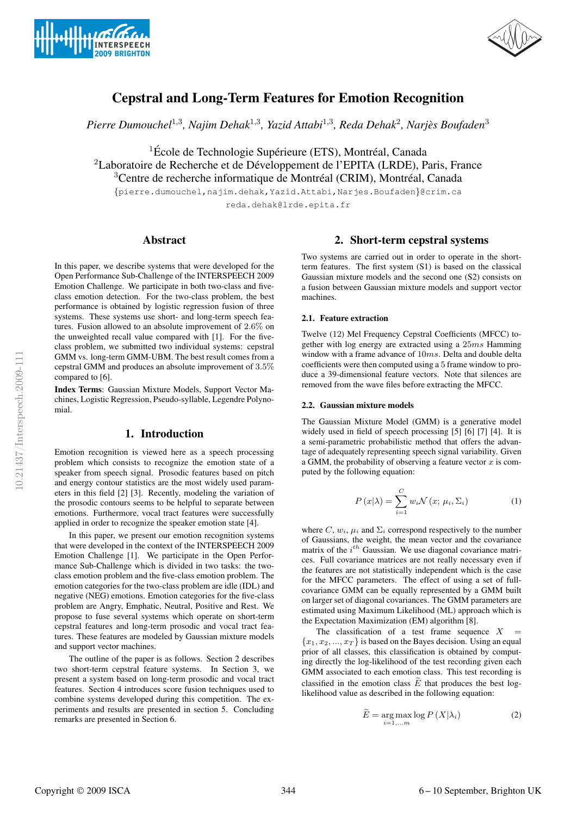



# Cepstral and Long-Term Features for Emotion Recognition

*Pierre Dumouchel*<sup>1</sup>,<sup>3</sup>*, Najim Dehak*<sup>1</sup>,<sup>3</sup>*, Yazid Attabi*<sup>1</sup>,<sup>3</sup>*, Reda Dehak*<sup>2</sup>*, Narjes Boufaden `* <sup>3</sup>

 ${}^{1}\acute{E}$ cole de Technologie Supérieure (ETS), Montréal, Canada  ${}^{2}$ Laboratoire de Recherche et de Développement de l'EPITA (LRDE), Paris, France  $3$ Centre de recherche informatique de Montréal (CRIM), Montréal, Canada

{pierre.dumouchel,najim.dehak,Yazid.Attabi,Narjes.Boufaden}@crim.ca reda.dehak@lrde.epita.fr

# Abstract

In this paper, we describe systems that were developed for the Open Performance Sub-Challenge of the INTERSPEECH 2009 Emotion Challenge. We participate in both two-class and fiveclass emotion detection. For the two-class problem, the best performance is obtained by logistic regression fusion of three systems. These systems use short- and long-term speech features. Fusion allowed to an absolute improvement of 2.6% on the unweighted recall value compared with [1]. For the fiveclass problem, we submitted two individual systems: cepstral GMM vs. long-term GMM-UBM. The best result comes from a cepstral GMM and produces an absolute improvement of 3.5% compared to [6].

Index Terms: Gaussian Mixture Models, Support Vector Machines, Logistic Regression, Pseudo-syllable, Legendre Polynomial.

### 1. Introduction

Emotion recognition is viewed here as a speech processing problem which consists to recognize the emotion state of a speaker from speech signal. Prosodic features based on pitch and energy contour statistics are the most widely used parameters in this field [2] [3]. Recently, modeling the variation of the prosodic contours seems to be helpful to separate between emotions. Furthermore, vocal tract features were successfully applied in order to recognize the speaker emotion state [4].

In this paper, we present our emotion recognition systems that were developed in the context of the INTERSPEECH 2009 Emotion Challenge [1]. We participate in the Open Performance Sub-Challenge which is divided in two tasks: the twoclass emotion problem and the five-class emotion problem. The emotion categories for the two-class problem are idle (IDL) and negative (NEG) emotions. Emotion categories for the five-class problem are Angry, Emphatic, Neutral, Positive and Rest. We propose to fuse several systems which operate on short-term cepstral features and long-term prosodic and vocal tract features. These features are modeled by Gaussian mixture models and support vector machines.

The outline of the paper is as follows. Section 2 describes two short-term cepstral feature systems. In Section 3, we present a system based on long-term prosodic and vocal tract features. Section 4 introduces score fusion techniques used to combine systems developed during this competition. The experiments and results are presented in section 5. Concluding remarks are presented in Section 6.

### 2. Short-term cepstral systems

Two systems are carried out in order to operate in the shortterm features. The first system (S1) is based on the classical Gaussian mixture models and the second one (S2) consists on a fusion between Gaussian mixture models and support vector machines.

### 2.1. Feature extraction

Twelve (12) Mel Frequency Cepstral Coefficients (MFCC) together with log energy are extracted using a 25ms Hamming window with a frame advance of 10ms. Delta and double delta coefficients were then computed using a 5 frame window to produce a 39-dimensional feature vectors. Note that silences are removed from the wave files before extracting the MFCC.

#### 2.2. Gaussian mixture models

The Gaussian Mixture Model (GMM) is a generative model widely used in field of speech processing [5] [6] [7] [4]. It is a semi-parametric probabilistic method that offers the advantage of adequately representing speech signal variability. Given a GMM, the probability of observing a feature vector  $x$  is computed by the following equation:

$$
P(x|\lambda) = \sum_{i=1}^{C} w_i \mathcal{N}(x; \mu_i, \Sigma_i)
$$
 (1)

where  $C, w_i, \mu_i$  and  $\Sigma_i$  correspond respectively to the number of Gaussians, the weight, the mean vector and the covariance matrix of the  $i^{th}$  Gaussian. We use diagonal covariance matrices. Full covariance matrices are not really necessary even if the features are not statistically independent which is the case for the MFCC parameters. The effect of using a set of fullcovariance GMM can be equally represented by a GMM built on larger set of diagonal covariances. The GMM parameters are estimated using Maximum Likelihood (ML) approach which is the Expectation Maximization (EM) algorithm [8].

The classification of a test frame sequence  $X$  ${x_1, x_2, ..., x_T}$  is based on the Bayes decision. Using an equal prior of all classes, this classification is obtained by computing directly the log-likelihood of the test recording given each GMM associated to each emotion class. This test recording is classified in the emotion class  $\tilde{E}$  that produces the best loglikelihood value as described in the following equation:

$$
\widetilde{E} = \underset{i=1,\dots m}{\arg \max} \log P\left(X|\lambda_i\right) \tag{2}
$$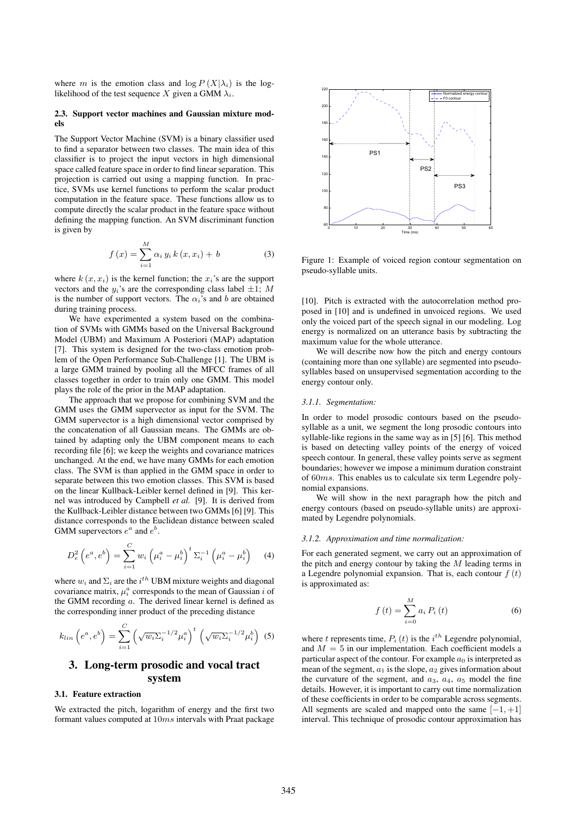where m is the emotion class and  $\log P(X|\lambda_i)$  is the loglikelihood of the test sequence X given a GMM  $\lambda_i$ .

### 2.3. Support vector machines and Gaussian mixture models

The Support Vector Machine (SVM) is a binary classifier used to find a separator between two classes. The main idea of this classifier is to project the input vectors in high dimensional space called feature space in order to find linear separation. This projection is carried out using a mapping function. In practice, SVMs use kernel functions to perform the scalar product computation in the feature space. These functions allow us to compute directly the scalar product in the feature space without defining the mapping function. An SVM discriminant function is given by

$$
f(x) = \sum_{i=1}^{M} \alpha_i y_i k(x, x_i) + b \tag{3}
$$

where  $k(x, x_i)$  is the kernel function; the  $x_i$ 's are the support vectors and the  $y_i$ 's are the corresponding class label  $\pm 1$ ; M is the number of support vectors. The  $\alpha_i$ 's and b are obtained during training process.

We have experimented a system based on the combination of SVMs with GMMs based on the Universal Background Model (UBM) and Maximum A Posteriori (MAP) adaptation [7]. This system is designed for the two-class emotion problem of the Open Performance Sub-Challenge [1]. The UBM is a large GMM trained by pooling all the MFCC frames of all classes together in order to train only one GMM. This model plays the role of the prior in the MAP adaptation.

The approach that we propose for combining SVM and the GMM uses the GMM supervector as input for the SVM. The GMM supervector is a high dimensional vector comprised by the concatenation of all Gaussian means. The GMMs are obtained by adapting only the UBM component means to each recording file [6]; we keep the weights and covariance matrices unchanged. At the end, we have many GMMs for each emotion class. The SVM is than applied in the GMM space in order to separate between this two emotion classes. This SVM is based on the linear Kullback-Leibler kernel defined in [9]. This kernel was introduced by Campbell *et al.* [9]. It is derived from the Kullback-Leibler distance between two GMMs [6] [9]. This distance corresponds to the Euclidean distance between scaled GMM supervectors  $e^a$  and  $e^b$ .

$$
D_e^2 \left( e^a, e^b \right) = \sum_{i=1}^C w_i \left( \mu_i^a - \mu_i^b \right)^t \Sigma_i^{-1} \left( \mu_i^a - \mu_i^b \right) \tag{4}
$$

where  $w_i$  and  $\Sigma_i$  are the  $i^{th}$  UBM mixture weights and diagonal covariance matrix,  $\mu_i^a$  corresponds to the mean of Gaussian *i* of the GMM recording a. The derived linear kernel is defined as the corresponding inner product of the preceding distance

$$
k_{lin}\left(e^a, e^b\right) = \sum_{i=1}^C \left(\sqrt{w_i} \Sigma_i^{-1/2} \mu_i^a\right)^t \left(\sqrt{w_i} \Sigma_i^{-1/2} \mu_i^b\right)
$$
 (5)

# 3. Long-term prosodic and vocal tract system

### 3.1. Feature extraction

We extracted the pitch, logarithm of energy and the first two formant values computed at 10ms intervals with Praat package



Figure 1: Example of voiced region contour segmentation on pseudo-syllable units.

[10]. Pitch is extracted with the autocorrelation method proposed in [10] and is undefined in unvoiced regions. We used only the voiced part of the speech signal in our modeling. Log energy is normalized on an utterance basis by subtracting the maximum value for the whole utterance.

We will describe now how the pitch and energy contours (containing more than one syllable) are segmented into pseudosyllables based on unsupervised segmentation according to the energy contour only.

#### *3.1.1. Segmentation:*

In order to model prosodic contours based on the pseudosyllable as a unit, we segment the long prosodic contours into syllable-like regions in the same way as in [5] [6]. This method is based on detecting valley points of the energy of voiced speech contour. In general, these valley points serve as segment boundaries; however we impose a minimum duration constraint of 60ms. This enables us to calculate six term Legendre polynomial expansions.

We will show in the next paragraph how the pitch and energy contours (based on pseudo-syllable units) are approximated by Legendre polynomials.

### *3.1.2. Approximation and time normalization:*

For each generated segment, we carry out an approximation of the pitch and energy contour by taking the  $M$  leading terms in a Legendre polynomial expansion. That is, each contour  $f(t)$ is approximated as:

$$
f(t) = \sum_{i=0}^{M} a_i P_i(t)
$$
 (6)

where t represents time,  $P_i(t)$  is the  $i^{th}$  Legendre polynomial, and  $M = 5$  in our implementation. Each coefficient models a particular aspect of the contour. For example  $a_0$  is interpreted as mean of the segment,  $a_1$  is the slope,  $a_2$  gives information about the curvature of the segment, and  $a_3$ ,  $a_4$ ,  $a_5$  model the fine details. However, it is important to carry out time normalization of these coefficients in order to be comparable across segments. All segments are scaled and mapped onto the same  $[-1, +1]$ interval. This technique of prosodic contour approximation has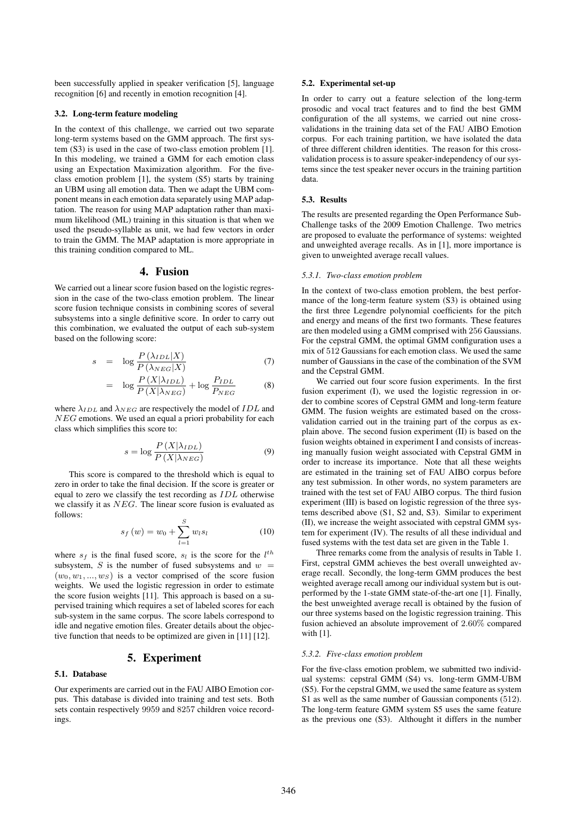been successfully applied in speaker verification [5], language recognition [6] and recently in emotion recognition [4].

### 3.2. Long-term feature modeling

In the context of this challenge, we carried out two separate long-term systems based on the GMM approach. The first system (S3) is used in the case of two-class emotion problem [1]. In this modeling, we trained a GMM for each emotion class using an Expectation Maximization algorithm. For the fiveclass emotion problem [1], the system (S5) starts by training an UBM using all emotion data. Then we adapt the UBM component means in each emotion data separately using MAP adaptation. The reason for using MAP adaptation rather than maximum likelihood (ML) training in this situation is that when we used the pseudo-syllable as unit, we had few vectors in order to train the GMM. The MAP adaptation is more appropriate in this training condition compared to ML.

### 4. Fusion

We carried out a linear score fusion based on the logistic regression in the case of the two-class emotion problem. The linear score fusion technique consists in combining scores of several subsystems into a single definitive score. In order to carry out this combination, we evaluated the output of each sub-system based on the following score:

$$
s = \log \frac{P(\lambda_{IDL}|X)}{P(\lambda_{NEG}|X)} \tag{7}
$$

$$
= \log \frac{P(X|\lambda_{IDL})}{P(X|\lambda_{NEG})} + \log \frac{P_{IDL}}{P_{NEG}} \tag{8}
$$

where  $\lambda_{IDL}$  and  $\lambda_{NEG}$  are respectively the model of  $IDL$  and NEG emotions. We used an equal a priori probability for each class which simplifies this score to:

$$
s = \log \frac{P(X|\lambda_{IDL})}{P(X|\lambda_{NEG})}
$$
\n(9)

This score is compared to the threshold which is equal to zero in order to take the final decision. If the score is greater or equal to zero we classify the test recording as IDL otherwise we classify it as NEG. The linear score fusion is evaluated as follows:

$$
s_f(w) = w_0 + \sum_{l=1}^{S} w_l s_l \tag{10}
$$

where  $s_f$  is the final fused score,  $s_l$  is the score for the  $l^{th}$ subsystem,  $S$  is the number of fused subsystems and  $w =$  $(w_0, w_1, ..., w_S)$  is a vector comprised of the score fusion weights. We used the logistic regression in order to estimate the score fusion weights [11]. This approach is based on a supervised training which requires a set of labeled scores for each sub-system in the same corpus. The score labels correspond to idle and negative emotion files. Greater details about the objective function that needs to be optimized are given in [11] [12].

### 5. Experiment

### 5.1. Database

Our experiments are carried out in the FAU AIBO Emotion corpus. This database is divided into training and test sets. Both sets contain respectively 9959 and 8257 children voice recordings.

#### 5.2. Experimental set-up

In order to carry out a feature selection of the long-term prosodic and vocal tract features and to find the best GMM configuration of the all systems, we carried out nine crossvalidations in the training data set of the FAU AIBO Emotion corpus. For each training partition, we have isolated the data of three different children identities. The reason for this crossvalidation process is to assure speaker-independency of our systems since the test speaker never occurs in the training partition data.

#### 5.3. Results

The results are presented regarding the Open Performance Sub-Challenge tasks of the 2009 Emotion Challenge. Two metrics are proposed to evaluate the performance of systems: weighted and unweighted average recalls. As in [1], more importance is given to unweighted average recall values.

### *5.3.1. Two-class emotion problem*

In the context of two-class emotion problem, the best performance of the long-term feature system (S3) is obtained using the first three Legendre polynomial coefficients for the pitch and energy and means of the first two formants. These features are then modeled using a GMM comprised with 256 Gaussians. For the cepstral GMM, the optimal GMM configuration uses a mix of 512 Gaussians for each emotion class. We used the same number of Gaussians in the case of the combination of the SVM and the Cepstral GMM.

We carried out four score fusion experiments. In the first fusion experiment (I), we used the logistic regression in order to combine scores of Cepstral GMM and long-term feature GMM. The fusion weights are estimated based on the crossvalidation carried out in the training part of the corpus as explain above. The second fusion experiment (II) is based on the fusion weights obtained in experiment I and consists of increasing manually fusion weight associated with Cepstral GMM in order to increase its importance. Note that all these weights are estimated in the training set of FAU AIBO corpus before any test submission. In other words, no system parameters are trained with the test set of FAU AIBO corpus. The third fusion experiment (III) is based on logistic regression of the three systems described above (S1, S2 and, S3). Similar to experiment (II), we increase the weight associated with cepstral GMM system for experiment (IV). The results of all these individual and fused systems with the test data set are given in the Table 1.

Three remarks come from the analysis of results in Table 1. First, cepstral GMM achieves the best overall unweighted average recall. Secondly, the long-term GMM produces the best weighted average recall among our individual system but is outperformed by the 1-state GMM state-of-the-art one [1]. Finally, the best unweighted average recall is obtained by the fusion of our three systems based on the logistic regression training. This fusion achieved an absolute improvement of 2.60% compared with [1].

#### *5.3.2. Five-class emotion problem*

For the five-class emotion problem, we submitted two individual systems: cepstral GMM (S4) vs. long-term GMM-UBM (S5). For the cepstral GMM, we used the same feature as system S1 as well as the same number of Gaussian components (512). The long-term feature GMM system S5 uses the same feature as the previous one (S3). Althought it differs in the number